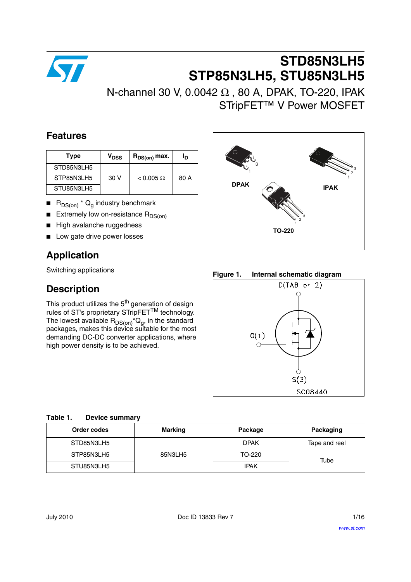

## **STD85N3LH5 STP85N3LH5, STU85N3LH5**

N-channel 30 V, 0.0042 Ω , 80 A, DPAK, TO-220, IPAK STripFET™ V Power MOSFET

### **Features**

| Type       | V <sub>DSS</sub> | $R_{DS(on)}$ max. | םי   |             |
|------------|------------------|-------------------|------|-------------|
| STD85N3LH5 |                  |                   |      |             |
| STP85N3LH5 | 30V              | $< 0.005 \Omega$  | 80 A |             |
| STU85N3LH5 |                  |                   |      | <b>DPAK</b> |

- $\blacksquare$  R<sub>DS(on)</sub> \* Q<sub>q</sub> industry benchmark
- Extremely low on-resistance  $R_{DS(on)}$
- High avalanche ruggedness
- Low gate drive power losses

### **Application**

Switching applications

### **Description**

This product utilizes the  $5<sup>th</sup>$  generation of design rules of ST's proprietary STripFET<sup>TM</sup> technology. The lowest available  $\mathsf{R}_{\mathsf{DS}( \mathsf{on} )}$ \* $\mathsf{Q}_{\mathsf{g}},$  in the standard packages, makes this device suitable for the most demanding DC-DC converter applications, where high power density is to be achieved.



**Figure 1. Internal schematic diagram**



| Table 1. | <b>Device summary</b> |
|----------|-----------------------|
|          |                       |

| Order codes | <b>Marking</b><br>Package |             | Packaging     |
|-------------|---------------------------|-------------|---------------|
| STD85N3LH5  |                           | <b>DPAK</b> | Tape and reel |
| STP85N3LH5  | 85N3LH5                   | TO-220      | Tube          |
| STU85N3LH5  |                           | IPAK        |               |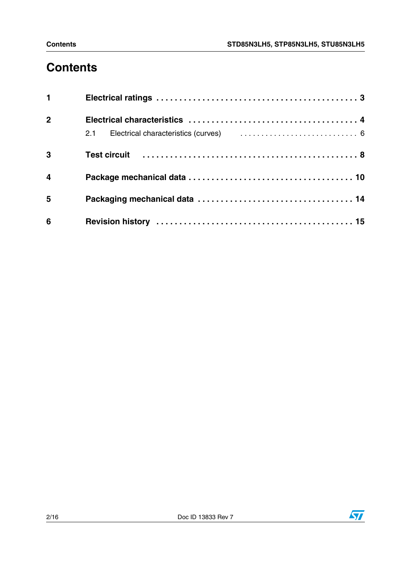# **Contents**

| 1              |                                                                                          |  |
|----------------|------------------------------------------------------------------------------------------|--|
| $2^{\circ}$    |                                                                                          |  |
|                | 2.1 Electrical characteristics (curves) (example 2.1 Electrical characteristics (curves) |  |
| $\mathbf{3}$   |                                                                                          |  |
| $\overline{4}$ |                                                                                          |  |
| 5              |                                                                                          |  |
| 6              |                                                                                          |  |

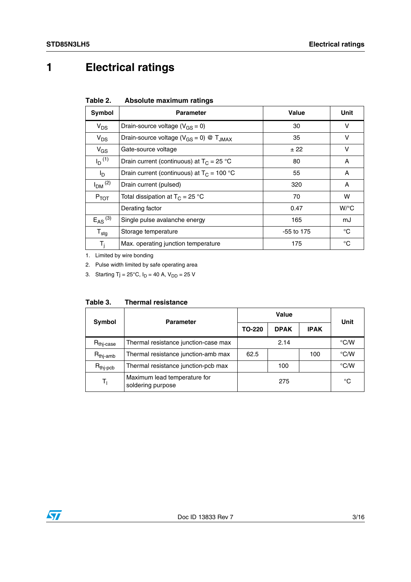## <span id="page-2-0"></span>**1 Electrical ratings**

<span id="page-2-1"></span>

| Table 2. | Absolute maximum ratings |  |
|----------|--------------------------|--|
|          |                          |  |

| Symbol                  | <b>Parameter</b>                                          | Value        | Unit               |
|-------------------------|-----------------------------------------------------------|--------------|--------------------|
| $V_{DS}$                | Drain-source voltage ( $V_{GS} = 0$ )                     | 30           | $\vee$             |
| $V_{DS}$                | Drain-source voltage ( $V_{GS} = 0$ ) @ T <sub>JMAX</sub> | 35           | v                  |
| $V_{GS}$                | Gate-source voltage                                       | ± 22         | v                  |
| $I_D^{(1)}$             | Drain current (continuous) at $T_C = 25$ °C               | 80           | A                  |
| I <sub>D</sub>          | Drain current (continuous) at $T_C = 100 °C$              | 55           | A                  |
| $I_{DM}$ <sup>(2)</sup> | Drain current (pulsed)                                    | 320          | A                  |
| $P_{TOT}$               | Total dissipation at $T_C = 25 °C$                        | 70           | w                  |
|                         | Derating factor                                           | 0.47         | $W$ <sup>o</sup> C |
| $E_{AS}$ <sup>(3)</sup> | Single pulse avalanche energy                             | 165          | mJ                 |
| ${\sf T}_{\sf stg}$     | Storage temperature                                       | $-55$ to 175 | °C                 |
| $T_i$                   | Max. operating junction temperature                       | 175          | $^{\circ}C$        |

1. Limited by wire bonding

2. Pulse width limited by safe operating area

3. Starting Tj =  $25^{\circ}$ C, I<sub>D</sub> = 40 A, V<sub>DD</sub> = 25 V

<span id="page-2-2"></span>

| <b>Thermal resistance</b><br>Table 3. |
|---------------------------------------|
|---------------------------------------|

| Symbol                  | <b>Parameter</b>                                  | Value  |             |             | Unit          |  |
|-------------------------|---------------------------------------------------|--------|-------------|-------------|---------------|--|
|                         |                                                   | TO-220 | <b>DPAK</b> | <b>IPAK</b> |               |  |
| $R_{\mathsf{thj-case}}$ | Thermal resistance junction-case max              |        | 2.14        |             | $\degree$ C/W |  |
| $R_{\text{thj-amb}}$    | Thermal resistance junction-amb max               | 62.5   |             | 100         | $\degree$ C/W |  |
| $R_{\text{thj-pcb}}$    | Thermal resistance junction-pcb max               |        | 100         |             | $\degree$ C/W |  |
| Tı.                     | Maximum lead temperature for<br>soldering purpose | 275    |             | °C          |               |  |

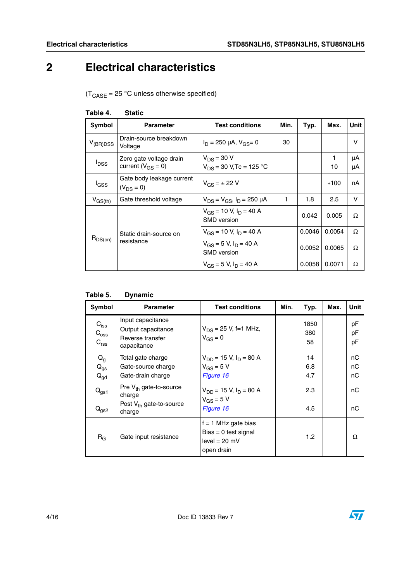## <span id="page-3-0"></span>**2 Electrical characteristics**

 $(T_{\text{CASE}} = 25 \text{ °C}$  unless otherwise specified)

| Symbol        | <b>Parameter</b>                                    | <b>Test conditions</b>                              | Min. | Typ.   | Max.    | Unit     |
|---------------|-----------------------------------------------------|-----------------------------------------------------|------|--------|---------|----------|
| $V_{(BR)DSS}$ | Drain-source breakdown<br>Voltage                   | $I_D = 250 \mu A$ , $V_{GS} = 0$                    | 30   |        |         | v        |
| $I_{DSS}$     | Zero gate voltage drain<br>current ( $V_{GS} = 0$ ) | $V_{DS}$ = 30 V<br>$V_{DS}$ = 30 V, Tc = 125 °C     |      |        | 1<br>10 | μA<br>μA |
| <b>I</b> GSS  | Gate body leakage current<br>$(V_{DS} = 0)$         | $V_{GS} = \pm 22 V$                                 |      |        | ±100    | nA       |
| $V_{GS(th)}$  | Gate threshold voltage                              | $V_{DS} = V_{GS}$ , $I_D = 250 \mu A$               | 1    | 1.8    | 2.5     | v        |
|               |                                                     | $V_{GS}$ = 10 V, $I_D$ = 40 A<br><b>SMD</b> version |      | 0.042  | 0.005   | Ω        |
|               | Static drain-source on                              | $V_{GS}$ = 10 V, $I_D$ = 40 A                       |      | 0.0046 | 0.0054  | Ω        |
| $R_{DS(on)}$  | resistance                                          | $V_{GS}$ = 5 V, $I_D$ = 40 A<br><b>SMD</b> version  |      | 0.0052 | 0.0065  | Ω        |
|               |                                                     | $V_{GS}$ = 5 V, $I_D$ = 40 A                        |      | 0.0058 | 0.0071  | Ω        |

#### <span id="page-3-1"></span>**Table 4. Static**

| Table 5. | <b>Dynamic</b> |
|----------|----------------|
|----------|----------------|

| Symbol                                                 | <b>Parameter</b>                                                                | <b>Test conditions</b>                                                           | Min. | Typ.              | Max. | <b>Unit</b>    |
|--------------------------------------------------------|---------------------------------------------------------------------------------|----------------------------------------------------------------------------------|------|-------------------|------|----------------|
| $C_{\text{iss}}$<br>$C_{\rm{oss}}$<br>C <sub>rss</sub> | Input capacitance<br>Output capacitance<br>Reverse transfer<br>capacitance      | $V_{DS}$ = 25 V, f=1 MHz,<br>$V_{GS} = 0$                                        |      | 1850<br>380<br>58 |      | рF<br>pF<br>pF |
| $Q_g$<br>$Q_{gs}$<br>$Q_{gd}$                          | Total gate charge<br>Gate-source charge<br>Gate-drain charge                    | $V_{DD}$ = 15 V, $I_D$ = 80 A<br>$V_{GS} = 5 V$<br>Figure 16                     |      | 14<br>6.8<br>4.7  |      | nC<br>пC<br>nС |
| $Q_{gs1}$<br>$Q_{gs2}$                                 | Pre $V_{th}$ gate-to-source<br>charge<br>Post $V_{th}$ gate-to-source<br>charge | $V_{DD}$ = 15 V, $I_D$ = 80 A<br>$V_{GS} = 5 V$<br>Figure 16                     |      | 2.3<br>4.5        |      | пC<br>nC       |
| $R_G$                                                  | Gate input resistance                                                           | $f = 1$ MHz gate bias<br>$Bias = 0$ test signal<br>$level = 20 mV$<br>open drain |      | 1.2               |      | Ω              |

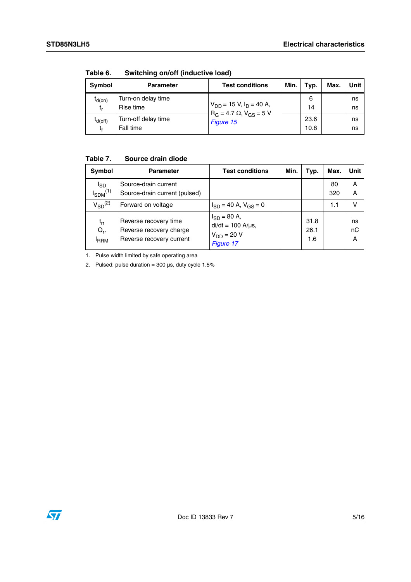| Symbol             | <b>Parameter</b>                 | <b>Test conditions</b>                                                         | Min. | Typ.         | Max. | Unit     |
|--------------------|----------------------------------|--------------------------------------------------------------------------------|------|--------------|------|----------|
| $I_{d(on)}$<br>t,  | Turn-on delay time<br>Rise time  | $V_{DD}$ = 15 V, I <sub>D</sub> = 40 A,<br>$R_G = 4.7 \Omega$ , $V_{GS} = 5 V$ |      | 6<br>14      |      | ns<br>ns |
| $I_{d(off)}$<br>t. | Turn-off delay time<br>Fall time | Figure 15                                                                      |      | 23.6<br>10.8 |      | ns<br>ns |

**Table 6. Switching on/off (inductive load)**

#### **Table 7. Source drain diode**

| Symbol                                      | <b>Parameter</b>                                                             | <b>Test conditions</b>                                                        | Min. | Typ.                | Max.      | Unit          |
|---------------------------------------------|------------------------------------------------------------------------------|-------------------------------------------------------------------------------|------|---------------------|-----------|---------------|
| <sup>I</sup> SD<br>$I_{SDM}$ <sup>(1)</sup> | Source-drain current<br>Source-drain current (pulsed)                        |                                                                               |      |                     | 80<br>320 | A<br>A        |
| $V_{SD}$ <sup>(2)</sup>                     | Forward on voltage                                                           | $I_{SD}$ = 40 A, $V_{GS}$ = 0                                                 |      |                     | 1.1       | v             |
| $t_{rr}$<br>$Q_{rr}$<br><sup>I</sup> RRM    | Reverse recovery time<br>Reverse recovery charge<br>Reverse recovery current | $I_{SD} = 80 A,$<br>$di/dt = 100$ A/ $\mu$ s,<br>$V_{DD}$ = 20 V<br>Figure 17 |      | 31.8<br>26.1<br>1.6 |           | ns<br>nC<br>Α |

1. Pulse width limited by safe operating area

2. Pulsed: pulse duration =  $300 \,\mu s$ , duty cycle  $1.5\%$ 

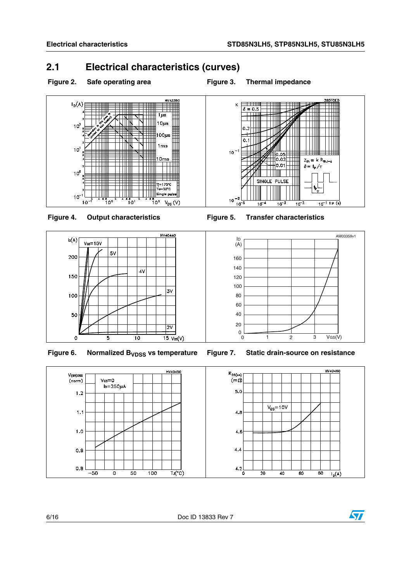### <span id="page-5-0"></span>**2.1 Electrical characteristics (curves)**

<span id="page-5-1"></span>Figure 2. Safe operating area **Figure 3.** Thermal impedance







Figure 6. Normalized B<sub>VDSS</sub> vs temperature Figure 7. Static drain-source on resistance



 $10^{-2}$   $\frac{1}{10^{-5}}$  $\frac{1}{10^{-1} \text{tp (s)}}$  $10^{-4}$  $10^{-3}$  $10^{-2}$ 

SINGLE PULSE

 $\overline{0.05}$  $\begin{bmatrix} 0.05 & 0.02 & 0.02 & 0.01 & 0.01 & 0.01 & 0.01 & 0.01 & 0.01 & 0.01 & 0.01 & 0.01 & 0.01 & 0.01 & 0.01 & 0.01 & 0.01 & 0.01 & 0.01 & 0.01 & 0.01 & 0.01 & 0.01 & 0.01 & 0.01 & 0.01 & 0.01 & 0.01 & 0.01 & 0.01 & 0.01 & 0.01 & 0.01 & 0.01 & 0.01 & 0.0$ 

 $Z_{th} = k R_{thJ-c}$  $\delta = \ensuremath{\left. \dagger_{\mathrm{p}} \right/ \tau}$ 



K

 $10^{-1}$ 

 $\delta = 0.5$ 

0.



<span id="page-5-2"></span>



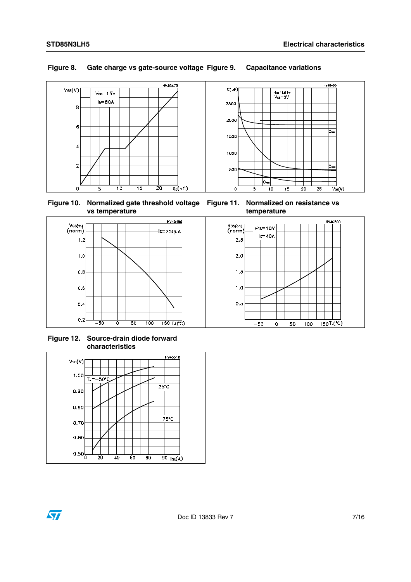#### **Figure 8. Gate charge vs gate-source voltage Figure 9. Capacitance variations**



**Figure 10. Normalized gate threshold voltage vs temperature**

**Figure 11. Normalized on resistance vs temperature**



**Figure 12. Source-drain diode forward characteristics**

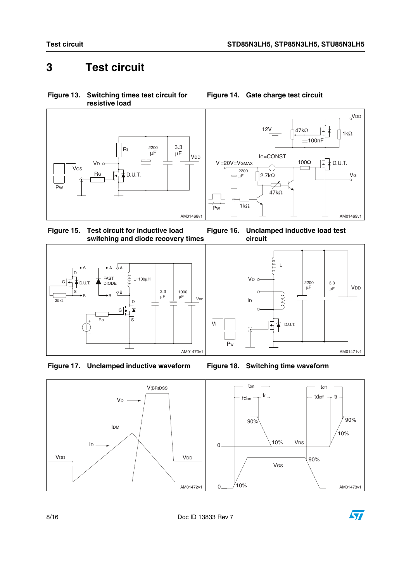## <span id="page-7-0"></span>**3 Test circuit**



**Figure 13. Switching times test circuit for** 

<span id="page-7-2"></span>**Figure 15. Test circuit for inductive load switching and diode recovery times Figure 16. Unclamped inductive load test** 



<span id="page-7-3"></span>



**Figure 14. Gate charge test circuit**

**circuit**

<span id="page-7-1"></span>





Vi

8/16 Doc ID 13833 Rev 7

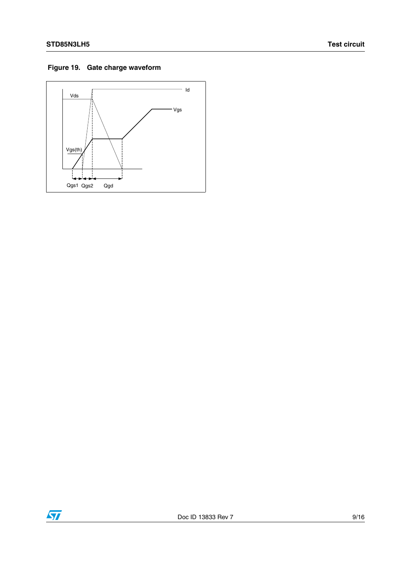#### **Figure 19. Gate charge waveform**



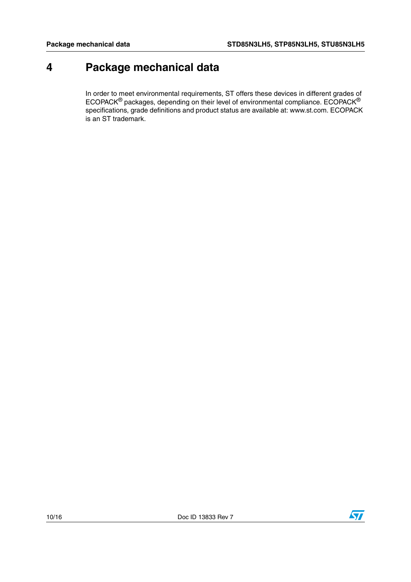## <span id="page-9-0"></span>**4 Package mechanical data**

In order to meet environmental requirements, ST offers these devices in different grades of ECOPACK® packages, depending on their level of environmental compliance. ECOPACK® specifications, grade definitions and product status are available at: www.st.com. ECOPACK is an ST trademark.

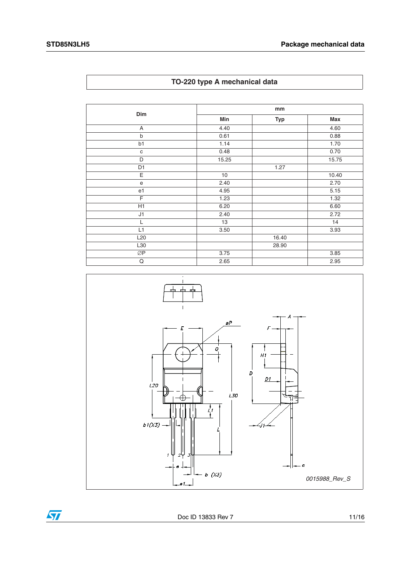| Dim             | mm    |            |       |  |
|-----------------|-------|------------|-------|--|
|                 | Min   | <b>Typ</b> | Max   |  |
| A               | 4.40  |            | 4.60  |  |
| b               | 0.61  |            | 0.88  |  |
| b1              | 1.14  |            | 1.70  |  |
| $\mathbf c$     | 0.48  |            | 0.70  |  |
| D               | 15.25 |            | 15.75 |  |
| D <sub>1</sub>  |       | 1.27       |       |  |
| E               | 10    |            | 10.40 |  |
| $\mathbf e$     | 2.40  |            | 2.70  |  |
| e <sub>1</sub>  | 4.95  |            | 5.15  |  |
| F               | 1.23  |            | 1.32  |  |
| H1              | 6.20  |            | 6.60  |  |
| J1              | 2.40  |            | 2.72  |  |
| L               | 13    |            | 14    |  |
| L1              | 3.50  |            | 3.93  |  |
| L <sub>20</sub> |       | 16.40      |       |  |
| L30             |       | 28.90      |       |  |
| ØP              | 3.75  |            | 3.85  |  |
| Q               | 2.65  |            | 2.95  |  |







Doc ID 13833 Rev 7 11/16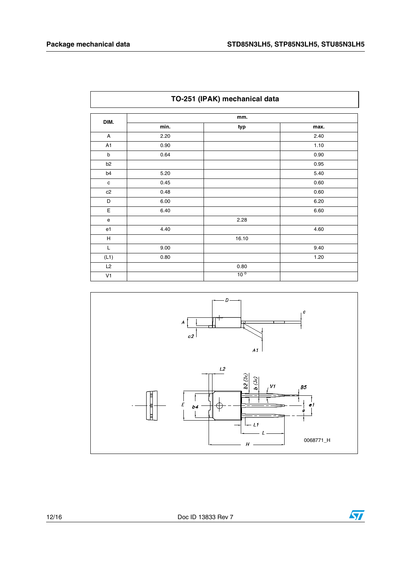| TO-251 (IPAK) mechanical data |      |                 |      |  |  |
|-------------------------------|------|-----------------|------|--|--|
| DIM.                          | mm.  |                 |      |  |  |
|                               | min. | typ             | max. |  |  |
| A                             | 2.20 |                 | 2.40 |  |  |
| A <sub>1</sub>                | 0.90 |                 | 1.10 |  |  |
| b                             | 0.64 |                 | 0.90 |  |  |
| b <sub>2</sub>                |      |                 | 0.95 |  |  |
| b4                            | 5.20 |                 | 5.40 |  |  |
| $\mathbf c$                   | 0.45 |                 | 0.60 |  |  |
| c2                            | 0.48 |                 | 0.60 |  |  |
| D                             | 6.00 |                 | 6.20 |  |  |
| Е                             | 6.40 |                 | 6.60 |  |  |
| $\mathsf{e}$                  |      | 2.28            |      |  |  |
| e1                            | 4.40 |                 | 4.60 |  |  |
| н                             |      | 16.10           |      |  |  |
| L                             | 9.00 |                 | 9.40 |  |  |
| (L1)                          | 0.80 |                 | 1.20 |  |  |
| L2                            |      | 0.80            |      |  |  |
| V <sub>1</sub>                |      | 10 <sup>o</sup> |      |  |  |



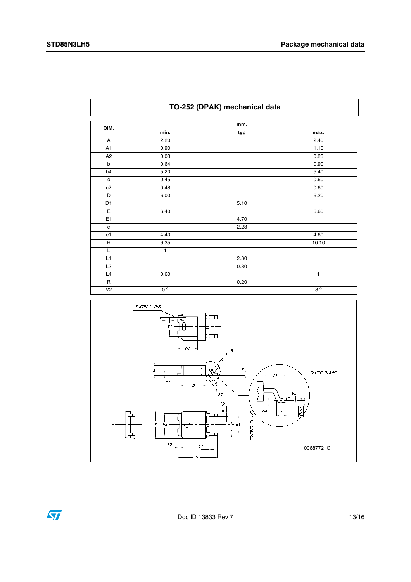| DIM.                              | mm.                    |      |             |  |
|-----------------------------------|------------------------|------|-------------|--|
|                                   | min.                   | typ  | max.        |  |
| A                                 | 2.20                   |      | 2.40        |  |
| $\overline{A1}$                   | 0.90                   |      | 1.10        |  |
| A2                                | 0.03                   |      | 0.23        |  |
| $\sf b$                           | 0.64                   |      | 0.90        |  |
| b4                                | 5.20                   |      | 5.40        |  |
| $\mathtt{C}$                      | 0.45                   |      | 0.60        |  |
| c2                                | 0.48                   |      | 0.60        |  |
| $\overline{D}$                    | 6.00                   |      | 6.20        |  |
| $\overline{D1}$                   |                        | 5.10 |             |  |
| $\mathsf E$                       | 6.40                   |      | 6.60        |  |
| E <sub>1</sub>                    |                        | 4.70 |             |  |
| $\mathbf{e}% _{t}\left( t\right)$ |                        | 2.28 |             |  |
| e <sub>1</sub>                    | 4.40                   |      | 4.60        |  |
| Н                                 | 9.35                   |      | 10.10       |  |
| L                                 | 1                      |      |             |  |
| L1                                |                        | 2.80 |             |  |
| L2                                |                        | 0.80 |             |  |
| L4                                | 0.60                   |      | 1           |  |
| $\overline{R}$                    |                        | 0.20 |             |  |
| $\overline{V}$                    | $\overline{0^{\circ}}$ |      | $8^{\circ}$ |  |





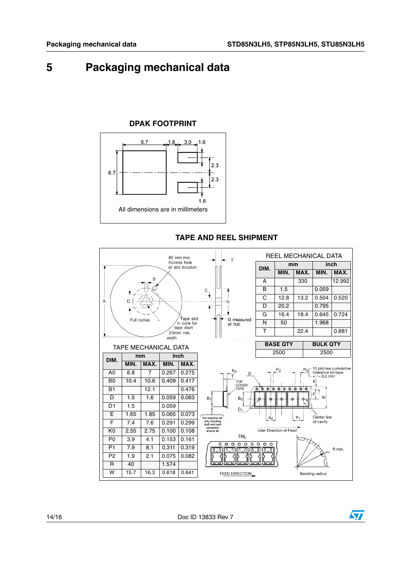## <span id="page-13-0"></span>**5 Packaging mechanical data**

#### **DPAK FOOTPRINT**



**TAPE AND REEL SHIPMENT** REEL MECHANICAL DATA 40 mm min. Access hole at slot location  $\overline{R}$  ${\bf C}$ Ÿ  $\overline{A}$ D N.  $\overline{\bullet}$ Tape slot Full radius G measured<br>at hub  $\frac{1}{2}$  in core for<br>tape start  $2.5$ mm min. width TAPE MECHANICAL DATA **DIM.**  $\begin{array}{|c|c|c|c|}\n\hline\n\text{min.} & \text{min.} & \text{inch.} \\
\hline\n\text{MIN.} & \text{MAX.} & \text{MIN.} & \text{MAX.}\n\hline\n\end{array}$ **MIN. MAX. MIN. MAX.**  $P<sub>2</sub>$  $K_0$ A0 6.8 7 0.267 0.275 D B0 10.4 10.6 0.409 0.417 TOP



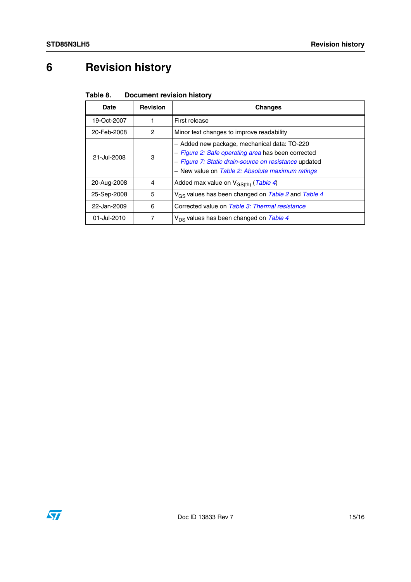# <span id="page-14-0"></span>**6 Revision history**

| Table 8. | <b>Document revision history</b> |
|----------|----------------------------------|
|----------|----------------------------------|

| <b>Date</b> | <b>Revision</b> | Changes                                                                                                                                                                                                         |
|-------------|-----------------|-----------------------------------------------------------------------------------------------------------------------------------------------------------------------------------------------------------------|
| 19-Oct-2007 |                 | First release                                                                                                                                                                                                   |
| 20-Feb-2008 | 2               | Minor text changes to improve readability                                                                                                                                                                       |
| 21-Jul-2008 | 3               | - Added new package, mechanical data: TO-220<br>- Figure 2: Safe operating area has been corrected<br>- Figure 7: Static drain-source on resistance updated<br>- New value on Table 2: Absolute maximum ratings |
| 20-Aug-2008 | 4               | Added max value on $V_{GS(th)}$ (Table 4)                                                                                                                                                                       |
| 25-Sep-2008 | 5               | V <sub>GS</sub> values has been changed on Table 2 and Table 4                                                                                                                                                  |
| 22-Jan-2009 | 6               | Corrected value on Table 3: Thermal resistance                                                                                                                                                                  |
| 01-Jul-2010 | 7               | $V_{DS}$ values has been changed on Table 4                                                                                                                                                                     |